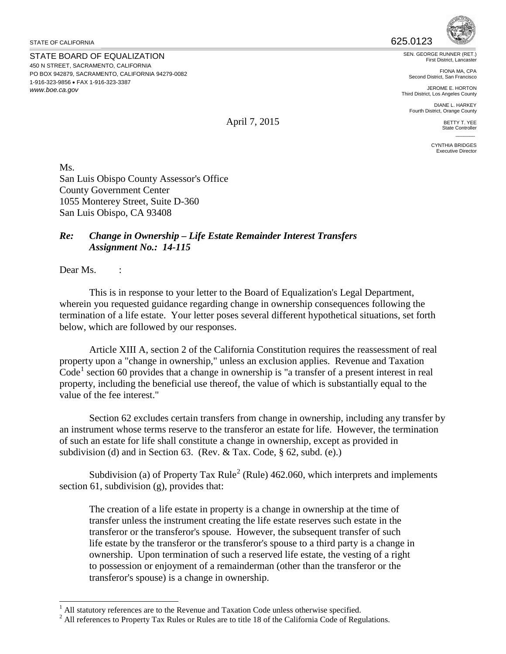STATE OF CALIFORNIA

STATE BOARD OF EQUALIZATION 450 N STREET, SACRAMENTO, CALIFORNIA PO BOX 942879, SACRAMENTO, CALIFORNIA 94279-0082 1-916-323-9856 • FAX 1-916-323-3387 *<www.boe.ca.gov>*



First District, Lancaster

FIONA MA, CPA Second District, San Francisco

JEROME E. HORTON Third District, Los Angeles County

DIANE L. HARKEY Fourth District, Orange County

> BETTY T. YEE State Controller  $\overline{\phantom{a}}$

CYNTHIA BRIDGES Executive Director

Ms. San Luis Obispo County Assessor's Office County Government Center 1055 Monterey Street, Suite D-360 San Luis Obispo, CA 93408

## *Re: Change in Ownership – Life Estate Remainder Interest Transfers Assignment No.: 14-115*

Dear Ms.

 below, which are followed by our responses. This is in response to your letter to the Board of Equalization's Legal Department, wherein you requested guidance regarding change in ownership consequences following the termination of a life estate. Your letter poses several different hypothetical situations, set forth

 property upon a "change in ownership," unless an exclusion applies. Revenue and Taxation Article XIII A, section 2 of the California Constitution requires the reassessment of real  $Code<sup>1</sup> section 60 provides that a change in ownership is "a transfer of a present interest in real$  $Code<sup>1</sup> section 60 provides that a change in ownership is "a transfer of a present interest in real$  $Code<sup>1</sup> section 60 provides that a change in ownership is "a transfer of a present interest in real$ property, including the beneficial use thereof, the value of which is substantially equal to the value of the fee interest."

Section 62 excludes certain transfers from change in ownership, including any transfer by an instrument whose terms reserve to the transferor an estate for life. However, the termination of such an estate for life shall constitute a change in ownership, except as provided in subdivision (d) and in Section 63. (Rev. & Tax. Code, § 62, subd. (e).)

Subdivision (a) of Property Tax Rule<sup>[2](#page-0-1)</sup> (Rule) 462.060, which interprets and implements section 61, subdivision (g), provides that:

 to possession or enjoyment of a remainderman (other than the transferor or the The creation of a life estate in property is a change in ownership at the time of transfer unless the instrument creating the life estate reserves such estate in the transferor or the transferor's spouse. However, the subsequent transfer of such life estate by the transferor or the transferor's spouse to a third party is a change in ownership. Upon termination of such a reserved life estate, the vesting of a right transferor's spouse) is a change in ownership.

April 7, 2015

<span id="page-0-0"></span> $\overline{a}$ All statutory references are to the Revenue and Taxation Code unless otherwise specified.

<span id="page-0-1"></span> $2$  All references to Property Tax Rules or Rules are to title 18 of the California Code of Regulations.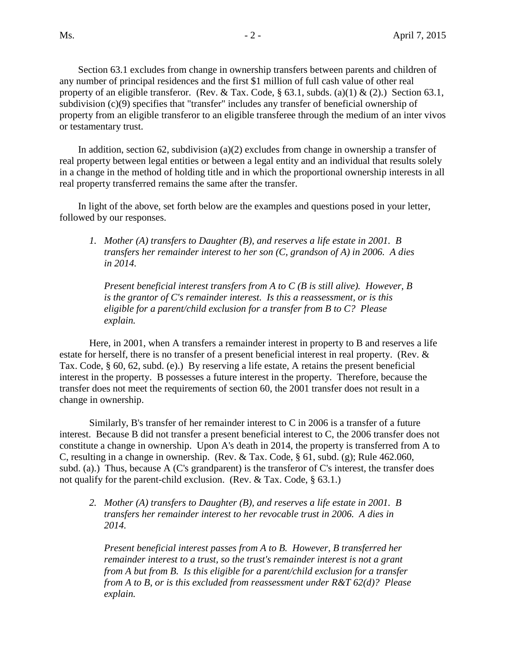Section 63.1 excludes from change in ownership transfers between parents and children of any number of principal residences and the first \$1 million of full cash value of other real property of an eligible transferor. (Rev. & Tax. Code,  $\S$  63.1, subds. (a)(1) & (2).) Section 63.1, subdivision (c)(9) specifies that "transfer" includes any transfer of beneficial ownership of property from an eligible transferor to an eligible transferee through the medium of an inter vivos or testamentary trust.

In addition, section 62, subdivision (a)(2) excludes from change in ownership a transfer of real property between legal entities or between a legal entity and an individual that results solely in a change in the method of holding title and in which the proportional ownership interests in all real property transferred remains the same after the transfer.

 In light of the above, set forth below are the examples and questions posed in your letter, followed by our responses.

 *1. Mother (A) transfers to Daughter (B), and reserves a life estate in 2001. B transfers her remainder interest to her son (C, grandson of A) in 2006. A dies in 2014.* 

 *eligible for a parent/child exclusion for a transfer from B to C? Please Present beneficial interest transfers from A to C (B is still alive). However, B is the grantor of C's remainder interest. Is this a reassessment, or is this explain.* 

 Here, in 2001, when A transfers a remainder interest in property to B and reserves a life estate for herself, there is no transfer of a present beneficial interest in real property. (Rev. & Tax. Code, § 60, 62, subd. (e).) By reserving a life estate, A retains the present beneficial interest in the property. B possesses a future interest in the property. Therefore, because the transfer does not meet the requirements of section 60, the 2001 transfer does not result in a change in ownership.

 Similarly, B's transfer of her remainder interest to C in 2006 is a transfer of a future constitute a change in ownership. Upon A's death in 2014, the property is transferred from A to subd. (a).) Thus, because A (C's grandparent) is the transferor of C's interest, the transfer does not qualify for the parent-child exclusion. (Rev. & Tax. Code, § 63.1.) interest. Because B did not transfer a present beneficial interest to C, the 2006 transfer does not C, resulting in a change in ownership. (Rev. & Tax. Code, § 61, subd. (g); Rule 462.060,

 *2. Mother (A) transfers to Daughter (B), and reserves a life estate in 2001. B transfers her remainder interest to her revocable trust in 2006. A dies in 2014.* 

 *from A but from B. Is this eligible for a parent/child exclusion for a transfer Present beneficial interest passes from A to B. However, B transferred her remainder interest to a trust, so the trust's remainder interest is not a grant from A to B, or is this excluded from reassessment under R&T 62(d)? Please explain.*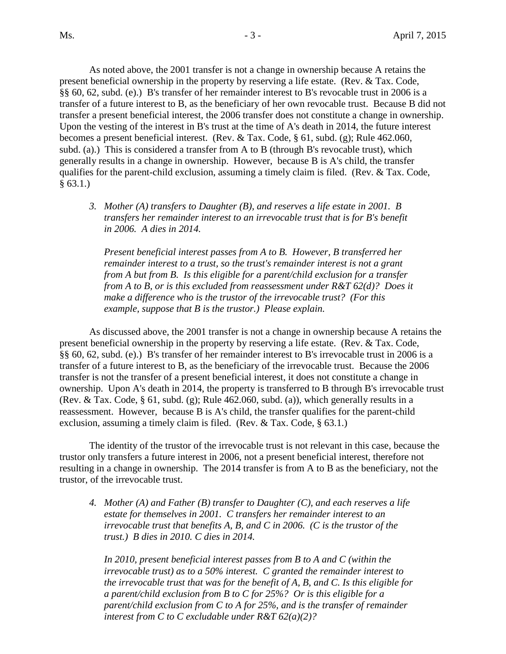present beneficial ownership in the property by reserving a life estate. (Rev. & Tax. Code, §§ 60, 62, subd. (e).) B's transfer of her remainder interest to B's revocable trust in 2006 is a transfer of a future interest to B, as the beneficiary of her own revocable trust. Because B did not transfer a present beneficial interest, the 2006 transfer does not constitute a change in ownership. transfer a present beneficial interest, the 2006 transfer does not constitute a change in ownership. Upon the vesting of the interest in B's trust at the time of A's death in 2014, the future interest qualifies for the parent-child exclusion, assuming a timely claim is filed. (Rev. & Tax. Code, § 63.1.) As noted above, the 2001 transfer is not a change in ownership because A retains the becomes a present beneficial interest. (Rev. & Tax. Code, § 61, subd. (g); Rule 462.060, subd. (a).) This is considered a transfer from A to B (through B's revocable trust), which generally results in a change in ownership. However, because B is A's child, the transfer

 *3. Mother (A) transfers to Daughter (B), and reserves a life estate in 2001. B transfers her remainder interest to an irrevocable trust that is for B's benefit in 2006. A dies in 2014.* 

 *from A to B, or is this excluded from reassessment under R&T 62(d)? Does it make a difference who is the trustor of the irrevocable trust? (For this example, suppose that B is the trustor.) Please explain. Present beneficial interest passes from A to B. However, B transferred her remainder interest to a trust, so the trust's remainder interest is not a grant from A but from B. Is this eligible for a parent/child exclusion for a transfer* 

 As discussed above, the 2001 transfer is not a change in ownership because A retains the present beneficial ownership in the property by reserving a life estate. (Rev. & Tax. Code, §§ 60, 62, subd. (e).) B's transfer of her remainder interest to B's irrevocable trust in 2006 is a transfer of a future interest to B, as the beneficiary of the irrevocable trust. Because the 2006 transfer is not the transfer of a present beneficial interest, it does not constitute a change in ownership. Upon A's death in 2014, the property is transferred to B through B's irrevocable trust (Rev. & Tax. Code, § 61, subd. (g); Rule 462.060, subd. (a)), which generally results in a reassessment. However, because B is A's child, the transfer qualifies for the parent-child exclusion, assuming a timely claim is filed. (Rev. & Tax. Code, § 63.1.)

The identity of the trustor of the irrevocable trust is not relevant in this case, because the trustor only transfers a future interest in 2006, not a present beneficial interest, therefore not resulting in a change in ownership. The 2014 transfer is from A to B as the beneficiary, not the trustor, of the irrevocable trust.

 *4. Mother (A) and Father (B) transfer to Daughter (C), and each reserves a life estate for themselves in 2001. C transfers her remainder interest to an irrevocable trust that benefits A, B, and C in 2006. (C is the trustor of the trust.) B dies in 2010. C dies in 2014.* 

 *irrevocable trust) as to a 50% interest. C granted the remainder interest to In 2010, present beneficial interest passes from B to A and C (within the the irrevocable trust that was for the benefit of A, B, and C. Is this eligible for a parent/child exclusion from B to C for 25%? Or is this eligible for a parent/child exclusion from C to A for 25%, and is the transfer of remainder interest from C to C excludable under R&T 62(a)(2)?*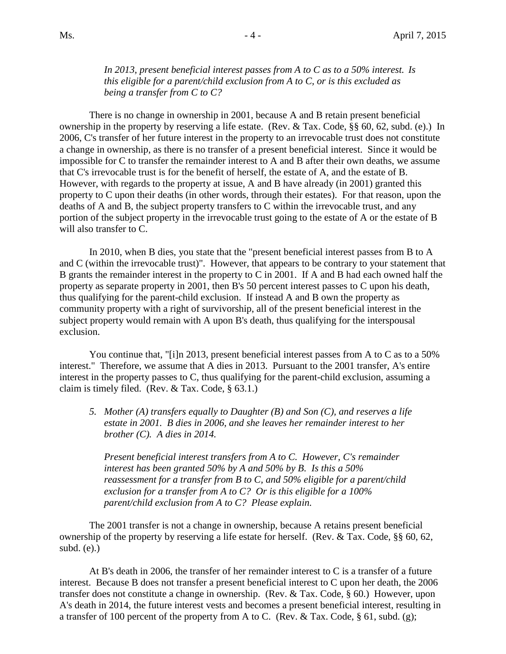*In 2013, present beneficial interest passes from A to C as to a 50% interest. Is this eligible for a parent/child exclusion from A to C, or is this excluded as being a transfer from C to C?* 

 There is no change in ownership in 2001, because A and B retain present beneficial ownership in the property by reserving a life estate. (Rev. & Tax. Code, §§ 60, 62, subd. (e).) In a change in ownership, as there is no transfer of a present beneficial interest. Since it would be impossible for C to transfer the remainder interest to A and B after their own deaths, we assume that C's irrevocable trust is for the benefit of herself, the estate of A, and the estate of B. property to C upon their deaths (in other words, through their estates). For that reason, upon the deaths of A and B, the subject property transfers to C within the irrevocable trust, and any 2006, C's transfer of her future interest in the property to an irrevocable trust does not constitute However, with regards to the property at issue, A and B have already (in  $2001$ ) granted this portion of the subject property in the irrevocable trust going to the estate of A or the estate of B will also transfer to C.

 and C (within the irrevocable trust)". However, that appears to be contrary to your statement that B grants the remainder interest in the property to C in 2001. If A and B had each owned half the property as separate property in 2001, then B's 50 percent interest passes to C upon his death, thus qualifying for the parent-child exclusion. If instead A and B own the property as In 2010, when B dies, you state that the "present beneficial interest passes from B to A community property with a right of survivorship, all of the present beneficial interest in the subject property would remain with A upon B's death, thus qualifying for the interspousal exclusion.

 interest." Therefore, we assume that A dies in 2013. Pursuant to the 2001 transfer, A's entire interest in the property passes to C, thus qualifying for the parent-child exclusion, assuming a You continue that, "[i]n 2013, present beneficial interest passes from A to C as to a 50% claim is timely filed. (Rev. & Tax. Code, § 63.1.)

 *5. Mother (A) transfers equally to Daughter (B) and Son (C), and reserves a life estate in 2001. B dies in 2006, and she leaves her remainder interest to her brother (C). A dies in 2014.* 

 *exclusion for a transfer from A to C? Or is this eligible for a 100% parent/child exclusion from A to C? Please explain. Present beneficial interest transfers from A to C. However, C's remainder interest has been granted 50% by A and 50% by B. Is this a 50% reassessment for a transfer from B to C, and 50% eligible for a parent/child* 

 ownership of the property by reserving a life estate for herself. (Rev. & Tax. Code, §§ 60, 62, The 2001 transfer is not a change in ownership, because A retains present beneficial subd. (e).)

 transfer does not constitute a change in ownership. (Rev. & Tax. Code, § 60.) However, upon A's death in 2014, the future interest vests and becomes a present beneficial interest, resulting in a transfer of 100 percent of the property from A to C. (Rev. & Tax. Code, § 61, subd. (g); At B's death in 2006, the transfer of her remainder interest to C is a transfer of a future interest. Because B does not transfer a present beneficial interest to C upon her death, the 2006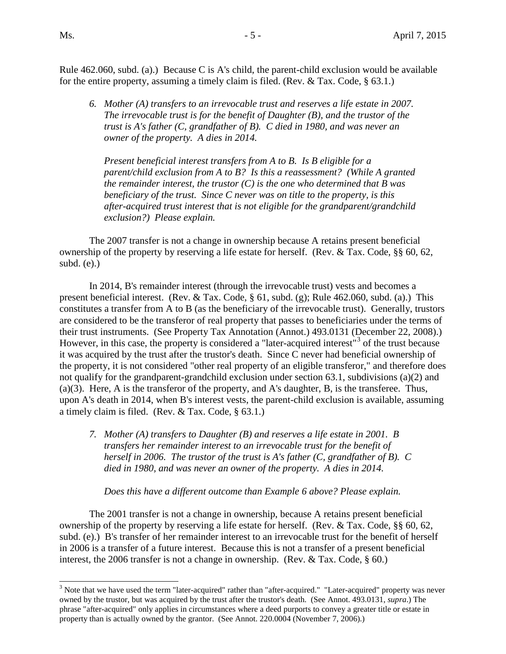$\overline{a}$ 

 Rule 462.060, subd. (a).) Because C is A's child, the parent-child exclusion would be available for the entire property, assuming a timely claim is filed. (Rev. & Tax. Code, § 63.1.)

 *6. Mother (A) transfers to an irrevocable trust and reserves a life estate in 2007. The irrevocable trust is for the benefit of Daughter (B), and the trustor of the trust is A's father (C, grandfather of B). C died in 1980, and was never an owner of the property. A dies in 2014.* 

 *beneficiary of the trust. Since C never was on title to the property, is this Present beneficial interest transfers from A to B. Is B eligible for a parent/child exclusion from A to B? Is this a reassessment? (While A granted the remainder interest, the trustor (C) is the one who determined that B was after-acquired trust interest that is not eligible for the grandparent/grandchild exclusion?) Please explain.* 

 ownership of the property by reserving a life estate for herself. (Rev. & Tax. Code, §§ 60, 62, The 2007 transfer is not a change in ownership because A retains present beneficial subd. (e).)

 present beneficial interest. (Rev. & Tax. Code, § 61, subd. (g); Rule 462.060, subd. (a).) This constitutes a transfer from A to B (as the beneficiary of the irrevocable trust). Generally, trustors their trust instruments. (See Property Tax Annotation (Annot.) 493.0131 (December 22, 2008).) their trust instruments. (See Property Tax Annotation (Annot.) 493.0131 ([D](#page-4-0)ecember 22, 2008).)<br>However, in this case, the property is considered a "later-acquired interest"<sup>3</sup> of the trust because not qualify for the grandparent-grandchild exclusion under section 63.1, subdivisions (a)(2) and In 2014, B's remainder interest (through the irrevocable trust) vests and becomes a are considered to be the transferor of real property that passes to beneficiaries under the terms of it was acquired by the trust after the trustor's death. Since C never had beneficial ownership of the property, it is not considered "other real property of an eligible transferor," and therefore does (a)(3). Here, A is the transferor of the property, and A's daughter, B, is the transferee. Thus, upon A's death in 2014, when B's interest vests, the parent-child exclusion is available, assuming a timely claim is filed. (Rev. & Tax. Code, § 63.1.)

 *7. Mother (A) transfers to Daughter (B) and reserves a life estate in 2001. B died in 1980, and was never an owner of the property. A dies in 2014. transfers her remainder interest to an irrevocable trust for the benefit of herself in 2006. The trustor of the trust is A's father (C, grandfather of B). C* 

 *Does this have a different outcome than Example 6 above? Please explain.* 

 ownership of the property by reserving a life estate for herself. (Rev. & Tax. Code, §§ 60, 62, subd. (e).) B's transfer of her remainder interest to an irrevocable trust for the benefit of herself in 2006 is a transfer of a future interest. Because this is not a transfer of a present beneficial interest, the 2006 transfer is not a change in ownership. (Rev. & Tax. Code, § 60.) The 2001 transfer is not a change in ownership, because A retains present beneficial

<span id="page-4-0"></span> $3$  Note that we have used the term "later-acquired" rather than "after-acquired." "Later-acquired" property was never owned by the trustor, but was acquired by the trust after the trustor's death. (See Annot. 493.0131, *supra*.) The phrase "after-acquired" only applies in circumstances where a deed purports to convey a greater title or estate in property than is actually owned by the grantor. (See Annot. 220.0004 (November 7, 2006).)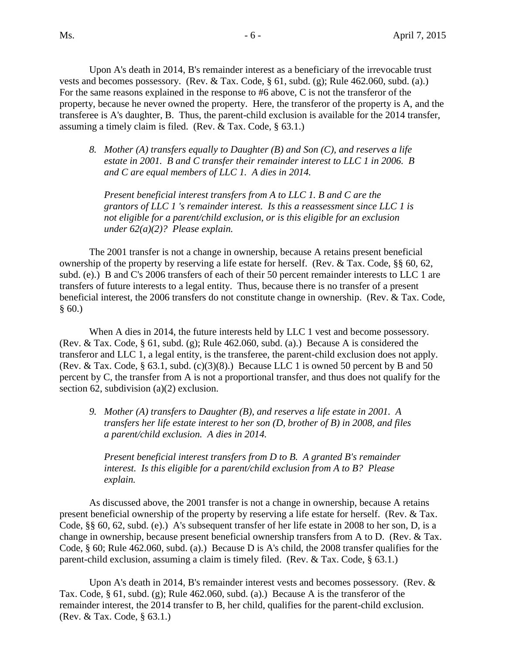vests and becomes possessory. (Rev. & Tax. Code, § 61, subd. (g); Rule 462.060, subd. (a).) For the same reasons explained in the response to #6 above, C is not the transferor of the For the same reasons explained in the response to  $#6$  above, C is not the transferor of the property, because he never owned the property. Here, the transferor of the property is A, and the assuming a timely claim is filed. (Rev. & Tax. Code, § 63.1.) Upon A's death in 2014, B's remainder interest as a beneficiary of the irrevocable trust transferee is A's daughter, B. Thus, the parent-child exclusion is available for the 2014 transfer,

 *8. Mother (A) transfers equally to Daughter (B) and Son (C), and reserves a life estate in 2001. B and C transfer their remainder interest to LLC 1 in 2006. B and C are equal members of LLC 1. A dies in 2014.* 

*Present beneficial interest transfers from A to LLC 1. B and C are the grantors of LLC 1 's remainder interest. Is this a reassessment since LLC 1 is not eligible for a parent/child exclusion, or is this eligible for an exclusion under 62(a)(2)? Please explain.* 

 ownership of the property by reserving a life estate for herself. (Rev. & Tax. Code, §§ 60, 62, subd. (e).) B and C's 2006 transfers of each of their 50 percent remainder interests to LLC 1 are transfers of future interests to a legal entity. Thus, because there is no transfer of a present beneficial interest, the 2006 transfers do not constitute change in ownership. (Rev. & Tax. Code,  $§ 60.)$ The 2001 transfer is not a change in ownership, because A retains present beneficial

 When A dies in 2014, the future interests held by LLC 1 vest and become possessory. (Rev. & Tax. Code, § 61, subd. (g); Rule 462.060, subd. (a).) Because A is considered the (Rev. & Tax. Code,  $\S$  63.1, subd. (c)(3)(8).) Because LLC 1 is owned 50 percent by B and 50 percent by C, the transfer from A is not a proportional transfer, and thus does not qualify for the section 62, subdivision (a)(2) exclusion. transferor and LLC 1, a legal entity, is the transferee, the parent-child exclusion does not apply.

 *9. Mother (A) transfers to Daughter (B), and reserves a life estate in 2001. A transfers her life estate interest to her son (D, brother of B) in 2008, and files a parent/child exclusion. A dies in 2014.* 

*Present beneficial interest transfers from D to B. A granted B's remainder interest. Is this eligible for a parent/child exclusion from A to B? Please explain.* 

 present beneficial ownership of the property by reserving a life estate for herself. (Rev. & Tax. Code, §§ 60, 62, subd. (e).) A's subsequent transfer of her life estate in 2008 to her son, D, is a change in ownership, because present beneficial ownership transfers from A to D. (Rev. & Tax. Code, § 60; Rule 462.060, subd. (a).) Because D is A's child, the 2008 transfer qualifies for the parent-child exclusion, assuming a claim is timely filed. (Rev. & Tax. Code, § 63.1.) As discussed above, the 2001 transfer is not a change in ownership, because A retains

 Tax. Code, § 61, subd. (g); Rule 462.060, subd. (a).) Because A is the transferor of the Upon A's death in 2014, B's remainder interest vests and becomes possessory. (Rev.  $\&$ remainder interest, the 2014 transfer to B, her child, qualifies for the parent-child exclusion. (Rev. & Tax. Code, § 63.1.)